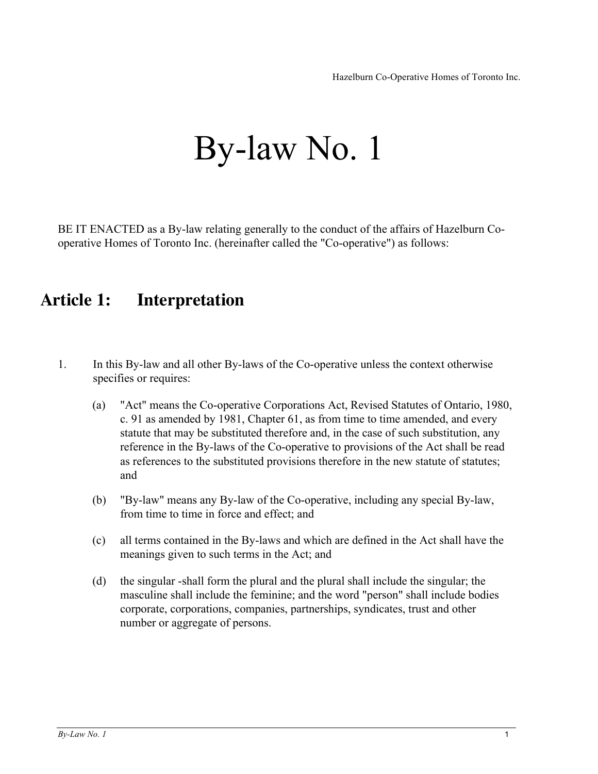# By-law No. 1

BE IT ENACTED as a By-law relating generally to the conduct of the affairs of Hazelburn Cooperative Homes of Toronto Inc. (hereinafter called the "Co-operative") as follows:

# **Article 1: Interpretation**

- 1. In this By-law and all other By-laws of the Co-operative unless the context otherwise specifies or requires:
	- (a) "Act" means the Co-operative Corporations Act, Revised Statutes of Ontario, 1980, c. 91 as amended by 1981, Chapter 61, as from time to time amended, and every statute that may be substituted therefore and, in the case of such substitution, any reference in the By-laws of the Co-operative to provisions of the Act shall be read as references to the substituted provisions therefore in the new statute of statutes; and
	- (b) "By-law" means any By-law of the Co-operative, including any special By-law, from time to time in force and effect; and
	- (c) all terms contained in the By-laws and which are defined in the Act shall have the meanings given to such terms in the Act; and
	- (d) the singular -shall form the plural and the plural shall include the singular; the masculine shall include the feminine; and the word "person" shall include bodies corporate, corporations, companies, partnerships, syndicates, trust and other number or aggregate of persons.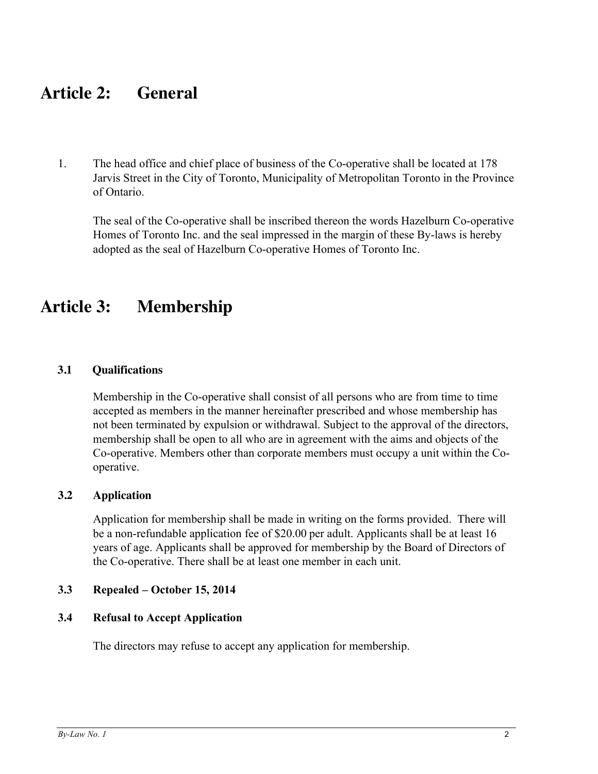# **Article 2: General**

1. The head office and chief place of business of the Co-operative shall be located at 178 Jarvis Street in the City of Toronto, Municipality of Metropolitan Toronto in the Province of Ontario.

The seal of the Co-operative shall be inscribed thereon the words Hazelburn Co-operative Homes of Toronto Inc. and the seal impressed in the margin of these By-laws is hereby adopted as the seal of Hazelburn Co-operative Homes of Toronto Inc.

# **Article 3: Membership**

### **3.1 Qualifications**

Membership in the Co-operative shall consist of all persons who are from time to time accepted as members in the manner hereinafter prescribed and whose membership has not been terminated by expulsion or withdrawal. Subject to the approval of the directors, membership shall be open to all who are in agreement with the aims and objects of the Co-operative. Members other than corporate members must occupy a unit within the Cooperative.

# **3.2 Application**

Application for membership shall be made in writing on the forms provided. There will be a non-refundable application fee of \$20.00 per adult. Applicants shall be at least 16 years of age. Applicants shall be approved for membership by the Board of Directors of the Co-operative. There shall be at least one member in each unit.

# **3.3 Repealed – October 15, 2014**

# **3.4 Refusal to Accept Application**

The directors may refuse to accept any application for membership.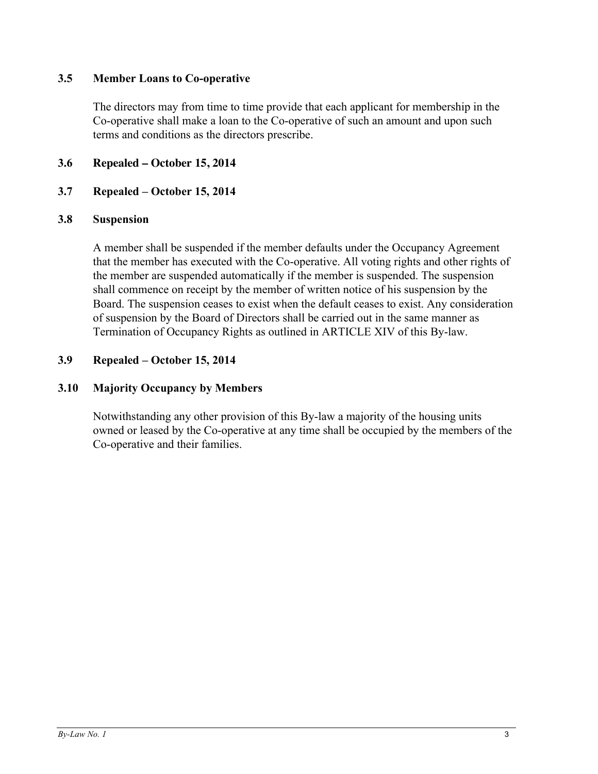# **3.5 Member Loans to Co-operative**

The directors may from time to time provide that each applicant for membership in the Co-operative shall make a loan to the Co-operative of such an amount and upon such terms and conditions as the directors prescribe.

# **3.6 Repealed – October 15, 2014**

# **3.7 Repealed – October 15, 2014**

# **3.8 Suspension**

A member shall be suspended if the member defaults under the Occupancy Agreement that the member has executed with the Co-operative. All voting rights and other rights of the member are suspended automatically if the member is suspended. The suspension shall commence on receipt by the member of written notice of his suspension by the Board. The suspension ceases to exist when the default ceases to exist. Any consideration of suspension by the Board of Directors shall be carried out in the same manner as Termination of Occupancy Rights as outlined in ARTICLE XIV of this By-law.

# **3.9 Repealed – October 15, 2014**

# **3.10 Majority Occupancy by Members**

Notwithstanding any other provision of this By-law a majority of the housing units owned or leased by the Co-operative at any time shall be occupied by the members of the Co-operative and their families.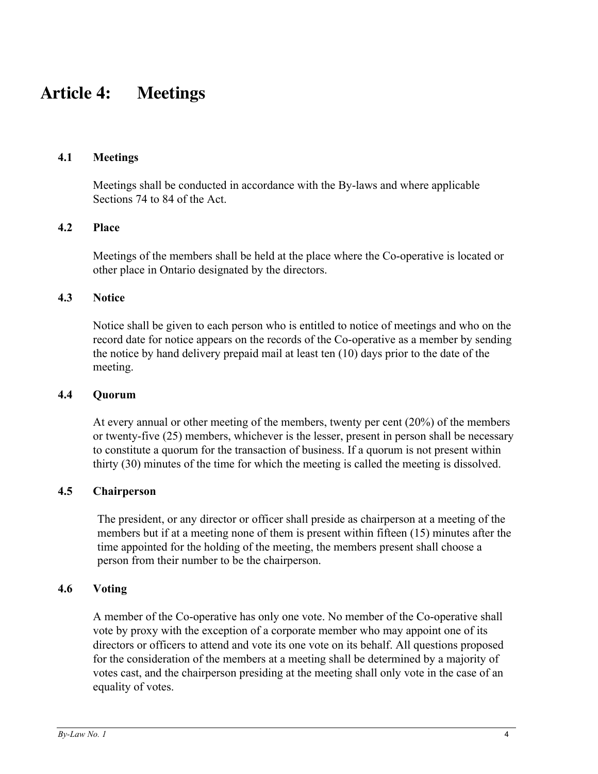# **Article 4: Meetings**

### **4.1 Meetings**

Meetings shall be conducted in accordance with the By-laws and where applicable Sections 74 to 84 of the Act.

# **4.2 Place**

Meetings of the members shall be held at the place where the Co-operative is located or other place in Ontario designated by the directors.

#### **4.3 Notice**

Notice shall be given to each person who is entitled to notice of meetings and who on the record date for notice appears on the records of the Co-operative as a member by sending the notice by hand delivery prepaid mail at least ten (10) days prior to the date of the meeting.

#### **4.4 Quorum**

At every annual or other meeting of the members, twenty per cent (20%) of the members or twenty-five (25) members, whichever is the lesser, present in person shall be necessary to constitute a quorum for the transaction of business. If a quorum is not present within thirty (30) minutes of the time for which the meeting is called the meeting is dissolved.

### **4.5 Chairperson**

The president, or any director or officer shall preside as chairperson at a meeting of the members but if at a meeting none of them is present within fifteen (15) minutes after the time appointed for the holding of the meeting, the members present shall choose a person from their number to be the chairperson.

### **4.6 Voting**

A member of the Co-operative has only one vote. No member of the Co-operative shall vote by proxy with the exception of a corporate member who may appoint one of its directors or officers to attend and vote its one vote on its behalf. All questions proposed for the consideration of the members at a meeting shall be determined by a majority of votes cast, and the chairperson presiding at the meeting shall only vote in the case of an equality of votes.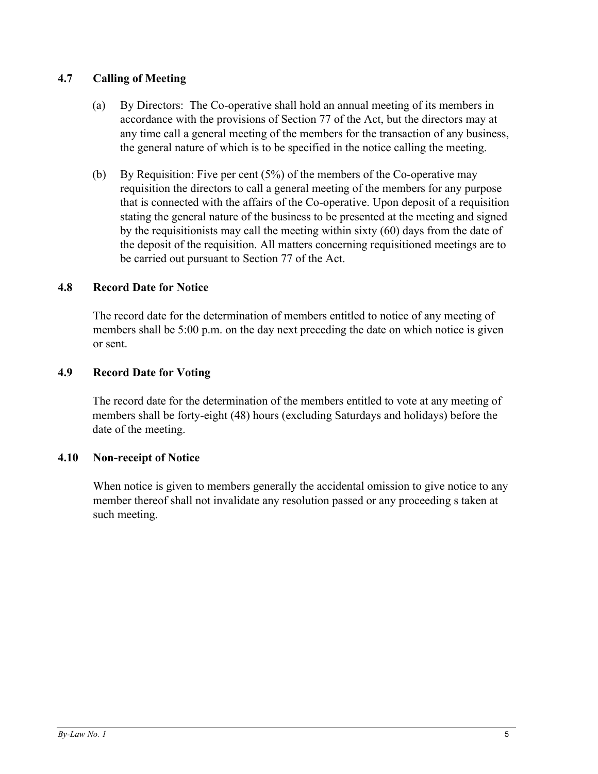# **4.7 Calling of Meeting**

- (a) By Directors: The Co-operative shall hold an annual meeting of its members in accordance with the provisions of Section 77 of the Act, but the directors may at any time call a general meeting of the members for the transaction of any business, the general nature of which is to be specified in the notice calling the meeting.
- (b) By Requisition: Five per cent (5%) of the members of the Co-operative may requisition the directors to call a general meeting of the members for any purpose that is connected with the affairs of the Co-operative. Upon deposit of a requisition stating the general nature of the business to be presented at the meeting and signed by the requisitionists may call the meeting within sixty (60) days from the date of the deposit of the requisition. All matters concerning requisitioned meetings are to be carried out pursuant to Section 77 of the Act.

# **4.8 Record Date for Notice**

The record date for the determination of members entitled to notice of any meeting of members shall be 5:00 p.m. on the day next preceding the date on which notice is given or sent.

### **4.9 Record Date for Voting**

The record date for the determination of the members entitled to vote at any meeting of members shall be forty-eight (48) hours (excluding Saturdays and holidays) before the date of the meeting.

#### **4.10 Non-receipt of Notice**

When notice is given to members generally the accidental omission to give notice to any member thereof shall not invalidate any resolution passed or any proceeding s taken at such meeting.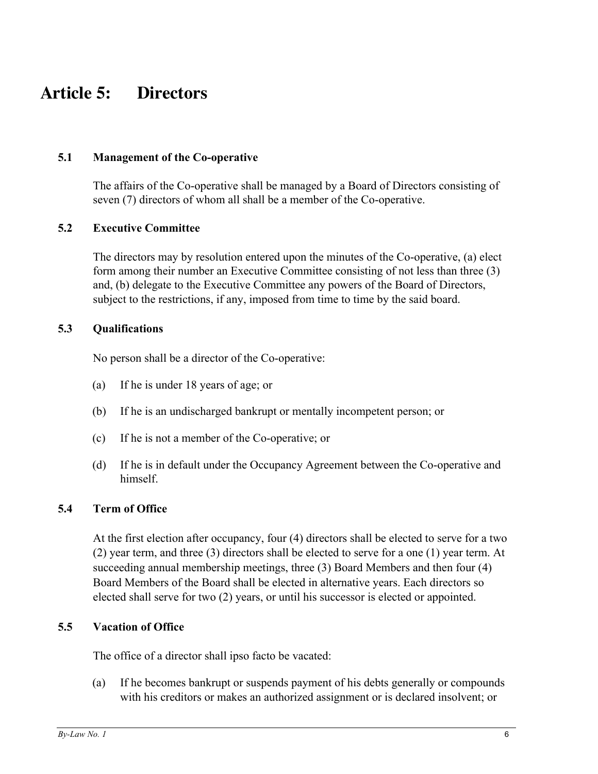# **Article 5: Directors**

# **5.1 Management of the Co-operative**

The affairs of the Co-operative shall be managed by a Board of Directors consisting of seven (7) directors of whom all shall be a member of the Co-operative.

### **5.2 Executive Committee**

The directors may by resolution entered upon the minutes of the Co-operative, (a) elect form among their number an Executive Committee consisting of not less than three (3) and, (b) delegate to the Executive Committee any powers of the Board of Directors, subject to the restrictions, if any, imposed from time to time by the said board.

### **5.3 Qualifications**

No person shall be a director of the Co-operative:

- (a) If he is under 18 years of age; or
- (b) If he is an undischarged bankrupt or mentally incompetent person; or
- (c) If he is not a member of the Co-operative; or
- (d) If he is in default under the Occupancy Agreement between the Co-operative and himself.

# **5.4 Term of Office**

At the first election after occupancy, four (4) directors shall be elected to serve for a two (2) year term, and three (3) directors shall be elected to serve for a one (1) year term. At succeeding annual membership meetings, three (3) Board Members and then four (4) Board Members of the Board shall be elected in alternative years. Each directors so elected shall serve for two (2) years, or until his successor is elected or appointed.

# **5.5 Vacation of Office**

The office of a director shall ipso facto be vacated:

(a) If he becomes bankrupt or suspends payment of his debts generally or compounds with his creditors or makes an authorized assignment or is declared insolvent; or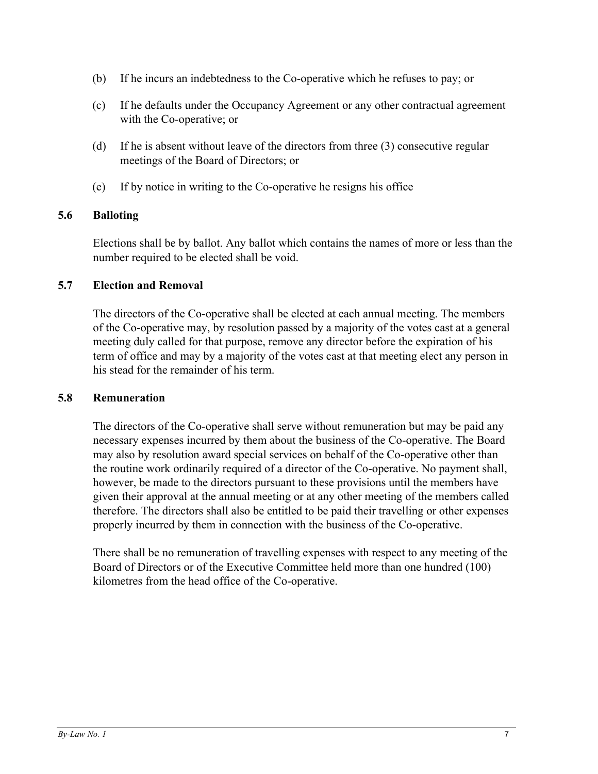- (b) If he incurs an indebtedness to the Co-operative which he refuses to pay; or
- (c) If he defaults under the Occupancy Agreement or any other contractual agreement with the Co-operative; or
- (d) If he is absent without leave of the directors from three (3) consecutive regular meetings of the Board of Directors; or
- (e) If by notice in writing to the Co-operative he resigns his office

# **5.6 Balloting**

Elections shall be by ballot. Any ballot which contains the names of more or less than the number required to be elected shall be void.

### **5.7 Election and Removal**

The directors of the Co-operative shall be elected at each annual meeting. The members of the Co-operative may, by resolution passed by a majority of the votes cast at a general meeting duly called for that purpose, remove any director before the expiration of his term of office and may by a majority of the votes cast at that meeting elect any person in his stead for the remainder of his term.

#### **5.8 Remuneration**

The directors of the Co-operative shall serve without remuneration but may be paid any necessary expenses incurred by them about the business of the Co-operative. The Board may also by resolution award special services on behalf of the Co-operative other than the routine work ordinarily required of a director of the Co-operative. No payment shall, however, be made to the directors pursuant to these provisions until the members have given their approval at the annual meeting or at any other meeting of the members called therefore. The directors shall also be entitled to be paid their travelling or other expenses properly incurred by them in connection with the business of the Co-operative.

There shall be no remuneration of travelling expenses with respect to any meeting of the Board of Directors or of the Executive Committee held more than one hundred (100) kilometres from the head office of the Co-operative.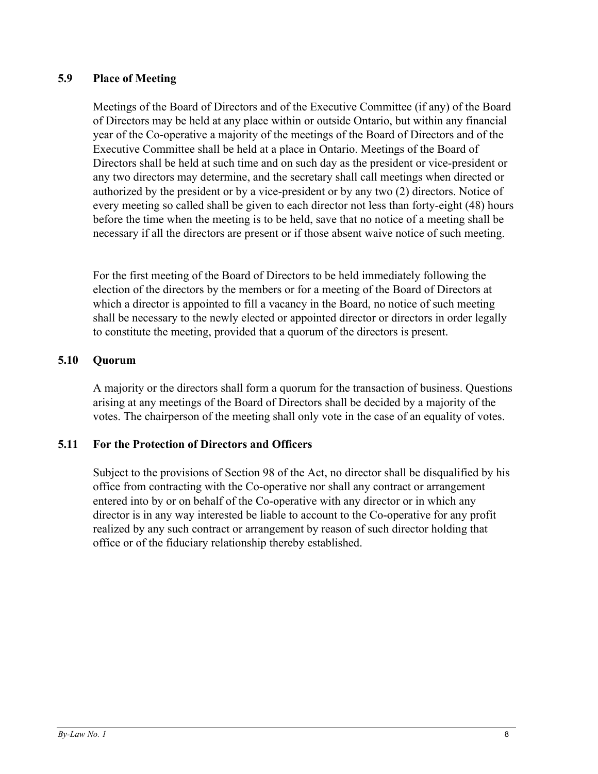# **5.9 Place of Meeting**

Meetings of the Board of Directors and of the Executive Committee (if any) of the Board of Directors may be held at any place within or outside Ontario, but within any financial year of the Co-operative a majority of the meetings of the Board of Directors and of the Executive Committee shall be held at a place in Ontario. Meetings of the Board of Directors shall be held at such time and on such day as the president or vice-president or any two directors may determine, and the secretary shall call meetings when directed or authorized by the president or by a vice-president or by any two (2) directors. Notice of every meeting so called shall be given to each director not less than forty-eight (48) hours before the time when the meeting is to be held, save that no notice of a meeting shall be necessary if all the directors are present or if those absent waive notice of such meeting.

For the first meeting of the Board of Directors to be held immediately following the election of the directors by the members or for a meeting of the Board of Directors at which a director is appointed to fill a vacancy in the Board, no notice of such meeting shall be necessary to the newly elected or appointed director or directors in order legally to constitute the meeting, provided that a quorum of the directors is present.

# **5.10 Quorum**

A majority or the directors shall form a quorum for the transaction of business. Questions arising at any meetings of the Board of Directors shall be decided by a majority of the votes. The chairperson of the meeting shall only vote in the case of an equality of votes.

# **5.11 For the Protection of Directors and Officers**

Subject to the provisions of Section 98 of the Act, no director shall be disqualified by his office from contracting with the Co-operative nor shall any contract or arrangement entered into by or on behalf of the Co-operative with any director or in which any director is in any way interested be liable to account to the Co-operative for any profit realized by any such contract or arrangement by reason of such director holding that office or of the fiduciary relationship thereby established.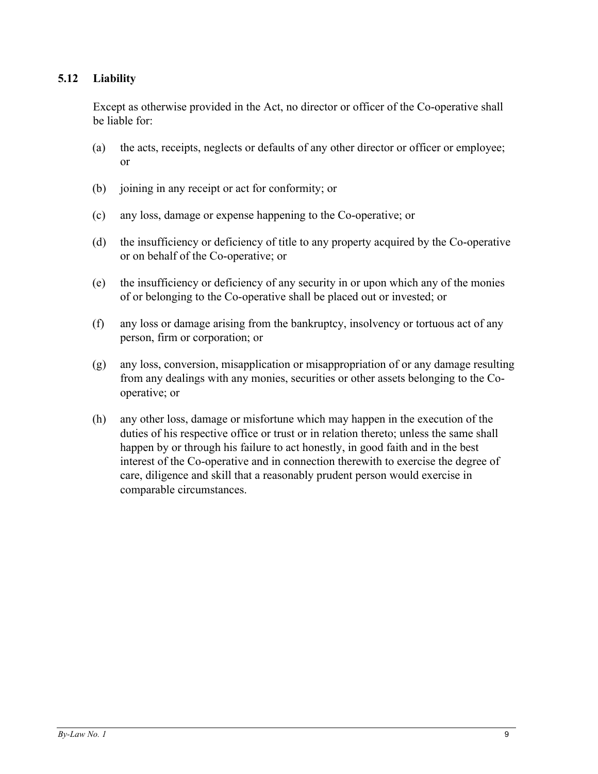# **5.12 Liability**

Except as otherwise provided in the Act, no director or officer of the Co-operative shall be liable for:

- (a) the acts, receipts, neglects or defaults of any other director or officer or employee; or
- (b) joining in any receipt or act for conformity; or
- (c) any loss, damage or expense happening to the Co-operative; or
- (d) the insufficiency or deficiency of title to any property acquired by the Co-operative or on behalf of the Co-operative; or
- (e) the insufficiency or deficiency of any security in or upon which any of the monies of or belonging to the Co-operative shall be placed out or invested; or
- (f) any loss or damage arising from the bankruptcy, insolvency or tortuous act of any person, firm or corporation; or
- (g) any loss, conversion, misapplication or misappropriation of or any damage resulting from any dealings with any monies, securities or other assets belonging to the Cooperative; or
- (h) any other loss, damage or misfortune which may happen in the execution of the duties of his respective office or trust or in relation thereto; unless the same shall happen by or through his failure to act honestly, in good faith and in the best interest of the Co-operative and in connection therewith to exercise the degree of care, diligence and skill that a reasonably prudent person would exercise in comparable circumstances.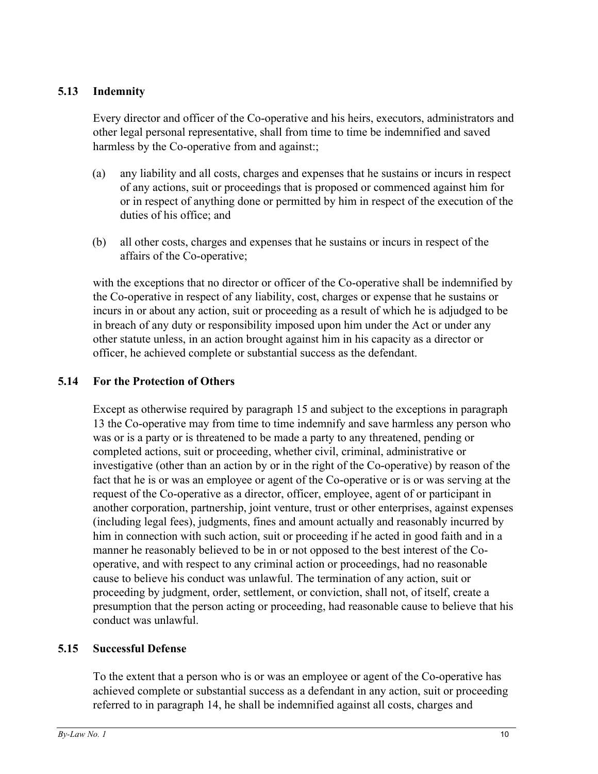# **5.13 Indemnity**

Every director and officer of the Co-operative and his heirs, executors, administrators and other legal personal representative, shall from time to time be indemnified and saved harmless by the Co-operative from and against:;

- (a) any liability and all costs, charges and expenses that he sustains or incurs in respect of any actions, suit or proceedings that is proposed or commenced against him for or in respect of anything done or permitted by him in respect of the execution of the duties of his office; and
- (b) all other costs, charges and expenses that he sustains or incurs in respect of the affairs of the Co-operative;

with the exceptions that no director or officer of the Co-operative shall be indemnified by the Co-operative in respect of any liability, cost, charges or expense that he sustains or incurs in or about any action, suit or proceeding as a result of which he is adjudged to be in breach of any duty or responsibility imposed upon him under the Act or under any other statute unless, in an action brought against him in his capacity as a director or officer, he achieved complete or substantial success as the defendant.

# **5.14 For the Protection of Others**

Except as otherwise required by paragraph 15 and subject to the exceptions in paragraph 13 the Co-operative may from time to time indemnify and save harmless any person who was or is a party or is threatened to be made a party to any threatened, pending or completed actions, suit or proceeding, whether civil, criminal, administrative or investigative (other than an action by or in the right of the Co-operative) by reason of the fact that he is or was an employee or agent of the Co-operative or is or was serving at the request of the Co-operative as a director, officer, employee, agent of or participant in another corporation, partnership, joint venture, trust or other enterprises, against expenses (including legal fees), judgments, fines and amount actually and reasonably incurred by him in connection with such action, suit or proceeding if he acted in good faith and in a manner he reasonably believed to be in or not opposed to the best interest of the Cooperative, and with respect to any criminal action or proceedings, had no reasonable cause to believe his conduct was unlawful. The termination of any action, suit or proceeding by judgment, order, settlement, or conviction, shall not, of itself, create a presumption that the person acting or proceeding, had reasonable cause to believe that his conduct was unlawful.

# **5.15 Successful Defense**

To the extent that a person who is or was an employee or agent of the Co-operative has achieved complete or substantial success as a defendant in any action, suit or proceeding referred to in paragraph 14, he shall be indemnified against all costs, charges and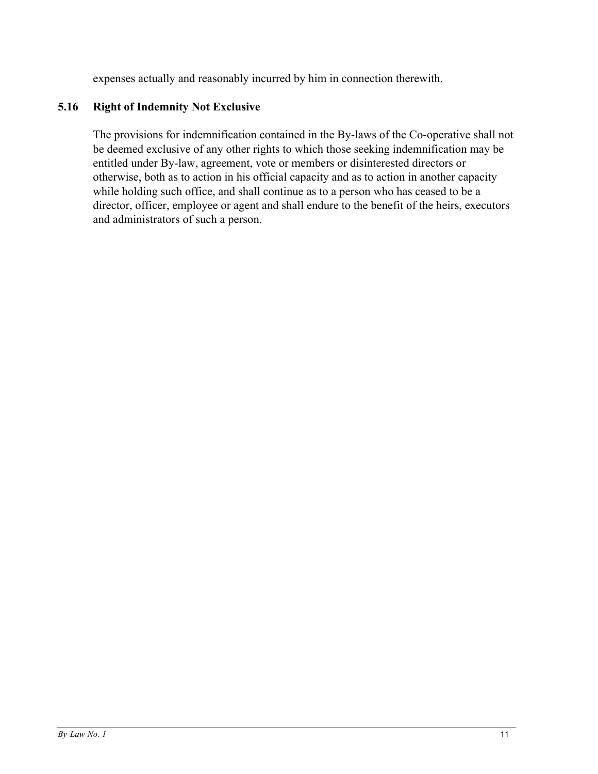expenses actually and reasonably incurred by him in connection therewith.

# **5.16 Right of Indemnity Not Exclusive**

The provisions for indemnification contained in the By-laws of the Co-operative shall not be deemed exclusive of any other rights to which those seeking indemnification may be entitled under By-law, agreement, vote or members or disinterested directors or otherwise, both as to action in his official capacity and as to action in another capacity while holding such office, and shall continue as to a person who has ceased to be a director, officer, employee or agent and shall endure to the benefit of the heirs, executors and administrators of such a person.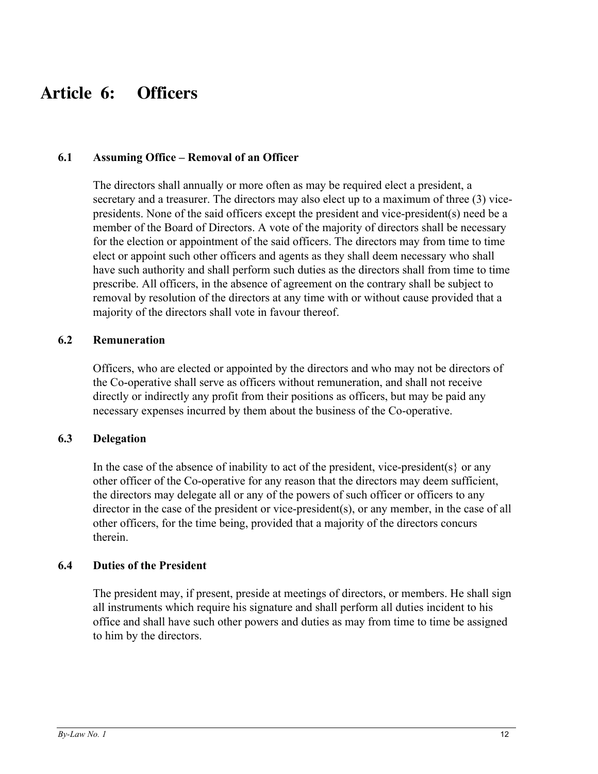# **Article 6: Officers**

### **6.1 Assuming Office – Removal of an Officer**

The directors shall annually or more often as may be required elect a president, a secretary and a treasurer. The directors may also elect up to a maximum of three (3) vicepresidents. None of the said officers except the president and vice-president(s) need be a member of the Board of Directors. A vote of the majority of directors shall be necessary for the election or appointment of the said officers. The directors may from time to time elect or appoint such other officers and agents as they shall deem necessary who shall have such authority and shall perform such duties as the directors shall from time to time prescribe. All officers, in the absence of agreement on the contrary shall be subject to removal by resolution of the directors at any time with or without cause provided that a majority of the directors shall vote in favour thereof.

### **6.2 Remuneration**

Officers, who are elected or appointed by the directors and who may not be directors of the Co-operative shall serve as officers without remuneration, and shall not receive directly or indirectly any profit from their positions as officers, but may be paid any necessary expenses incurred by them about the business of the Co-operative.

#### **6.3 Delegation**

In the case of the absence of inability to act of the president, vice-president(s} or any other officer of the Co-operative for any reason that the directors may deem sufficient, the directors may delegate all or any of the powers of such officer or officers to any director in the case of the president or vice-president(s), or any member, in the case of all other officers, for the time being, provided that a majority of the directors concurs therein.

# **6.4 Duties of the President**

The president may, if present, preside at meetings of directors, or members. He shall sign all instruments which require his signature and shall perform all duties incident to his office and shall have such other powers and duties as may from time to time be assigned to him by the directors.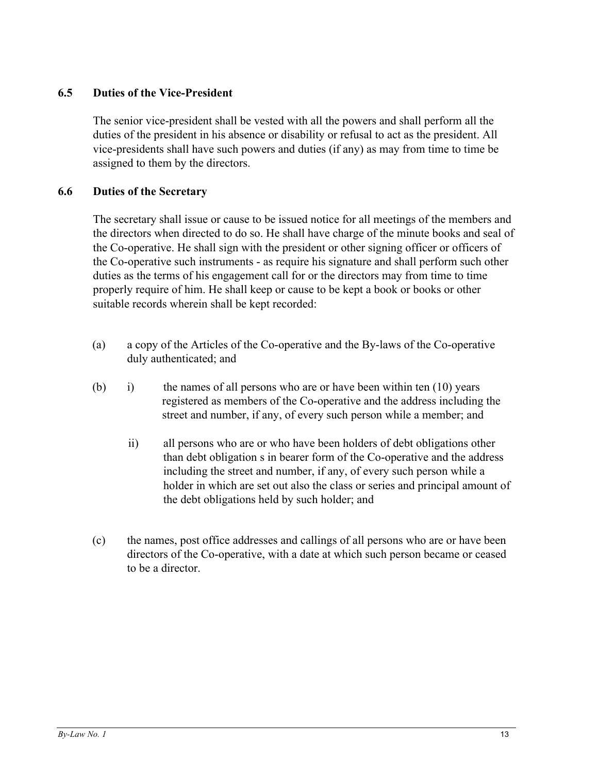# **6.5 Duties of the Vice-President**

The senior vice-president shall be vested with all the powers and shall perform all the duties of the president in his absence or disability or refusal to act as the president. All vice-presidents shall have such powers and duties (if any) as may from time to time be assigned to them by the directors.

# **6.6 Duties of the Secretary**

The secretary shall issue or cause to be issued notice for all meetings of the members and the directors when directed to do so. He shall have charge of the minute books and seal of the Co-operative. He shall sign with the president or other signing officer or officers of the Co-operative such instruments - as require his signature and shall perform such other duties as the terms of his engagement call for or the directors may from time to time properly require of him. He shall keep or cause to be kept a book or books or other suitable records wherein shall be kept recorded:

- (a) a copy of the Articles of the Co-operative and the By-laws of the Co-operative duly authenticated; and
- (b) i) the names of all persons who are or have been within ten (10) years registered as members of the Co-operative and the address including the street and number, if any, of every such person while a member; and
	- ii) all persons who are or who have been holders of debt obligations other than debt obligation s in bearer form of the Co-operative and the address including the street and number, if any, of every such person while a holder in which are set out also the class or series and principal amount of the debt obligations held by such holder; and
- (c) the names, post office addresses and callings of all persons who are or have been directors of the Co-operative, with a date at which such person became or ceased to be a director.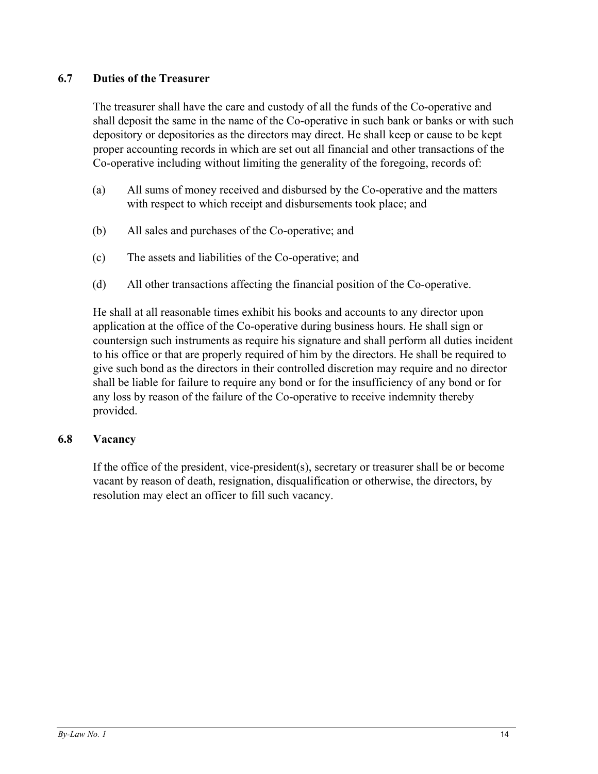# **6.7 Duties of the Treasurer**

The treasurer shall have the care and custody of all the funds of the Co-operative and shall deposit the same in the name of the Co-operative in such bank or banks or with such depository or depositories as the directors may direct. He shall keep or cause to be kept proper accounting records in which are set out all financial and other transactions of the Co-operative including without limiting the generality of the foregoing, records of:

- (a) All sums of money received and disbursed by the Co-operative and the matters with respect to which receipt and disbursements took place; and
- (b) All sales and purchases of the Co-operative; and
- (c) The assets and liabilities of the Co-operative; and
- (d) All other transactions affecting the financial position of the Co-operative.

He shall at all reasonable times exhibit his books and accounts to any director upon application at the office of the Co-operative during business hours. He shall sign or countersign such instruments as require his signature and shall perform all duties incident to his office or that are properly required of him by the directors. He shall be required to give such bond as the directors in their controlled discretion may require and no director shall be liable for failure to require any bond or for the insufficiency of any bond or for any loss by reason of the failure of the Co-operative to receive indemnity thereby provided.

# **6.8 Vacancy**

If the office of the president, vice-president(s), secretary or treasurer shall be or become vacant by reason of death, resignation, disqualification or otherwise, the directors, by resolution may elect an officer to fill such vacancy.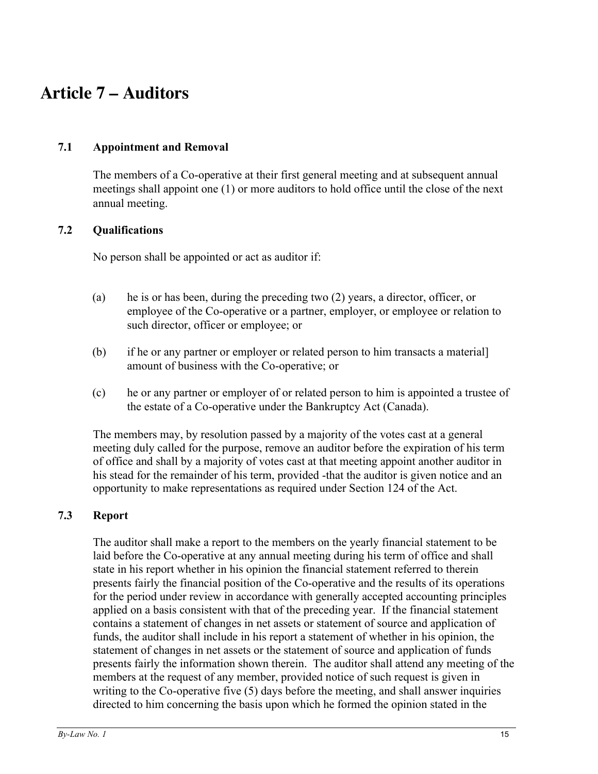# **Article 7 – Auditors**

# **7.1 Appointment and Removal**

The members of a Co-operative at their first general meeting and at subsequent annual meetings shall appoint one (1) or more auditors to hold office until the close of the next annual meeting.

# **7.2 Qualifications**

No person shall be appointed or act as auditor if:

- (a) he is or has been, during the preceding two (2) years, a director, officer, or employee of the Co-operative or a partner, employer, or employee or relation to such director, officer or employee; or
- (b) if he or any partner or employer or related person to him transacts a material] amount of business with the Co-operative; or
- (c) he or any partner or employer of or related person to him is appointed a trustee of the estate of a Co-operative under the Bankruptcy Act (Canada).

The members may, by resolution passed by a majority of the votes cast at a general meeting duly called for the purpose, remove an auditor before the expiration of his term of office and shall by a majority of votes cast at that meeting appoint another auditor in his stead for the remainder of his term, provided -that the auditor is given notice and an opportunity to make representations as required under Section 124 of the Act.

# **7.3 Report**

The auditor shall make a report to the members on the yearly financial statement to be laid before the Co-operative at any annual meeting during his term of office and shall state in his report whether in his opinion the financial statement referred to therein presents fairly the financial position of the Co-operative and the results of its operations for the period under review in accordance with generally accepted accounting principles applied on a basis consistent with that of the preceding year. If the financial statement contains a statement of changes in net assets or statement of source and application of funds, the auditor shall include in his report a statement of whether in his opinion, the statement of changes in net assets or the statement of source and application of funds presents fairly the information shown therein. The auditor shall attend any meeting of the members at the request of any member, provided notice of such request is given in writing to the Co-operative five (5) days before the meeting, and shall answer inquiries directed to him concerning the basis upon which he formed the opinion stated in the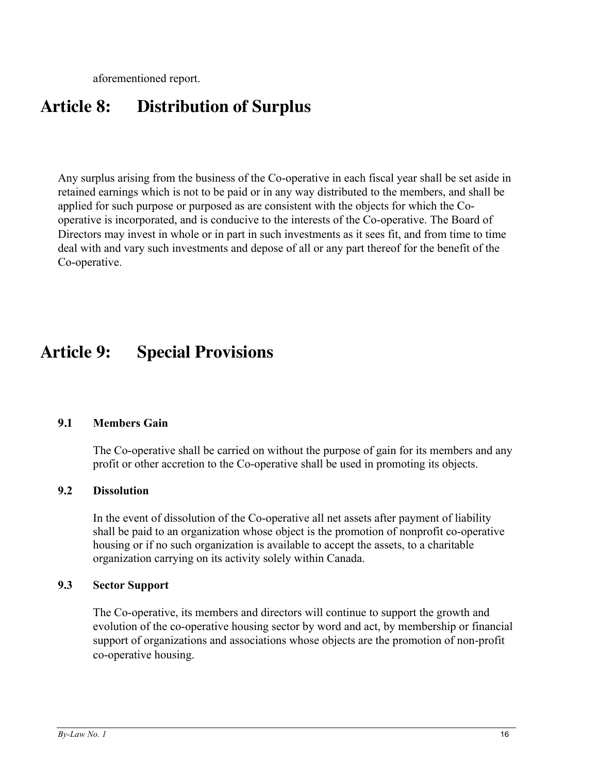aforementioned report.

# **Article 8: Distribution of Surplus**

Any surplus arising from the business of the Co-operative in each fiscal year shall be set aside in retained earnings which is not to be paid or in any way distributed to the members, and shall be applied for such purpose or purposed as are consistent with the objects for which the Cooperative is incorporated, and is conducive to the interests of the Co-operative. The Board of Directors may invest in whole or in part in such investments as it sees fit, and from time to time deal with and vary such investments and depose of all or any part thereof for the benefit of the Co-operative.

# **Article 9: Special Provisions**

# **9.1 Members Gain**

The Co-operative shall be carried on without the purpose of gain for its members and any profit or other accretion to the Co-operative shall be used in promoting its objects.

# **9.2 Dissolution**

In the event of dissolution of the Co-operative all net assets after payment of liability shall be paid to an organization whose object is the promotion of nonprofit co-operative housing or if no such organization is available to accept the assets, to a charitable organization carrying on its activity solely within Canada.

#### **9.3 Sector Support**

The Co-operative, its members and directors will continue to support the growth and evolution of the co-operative housing sector by word and act, by membership or financial support of organizations and associations whose objects are the promotion of non-profit co-operative housing.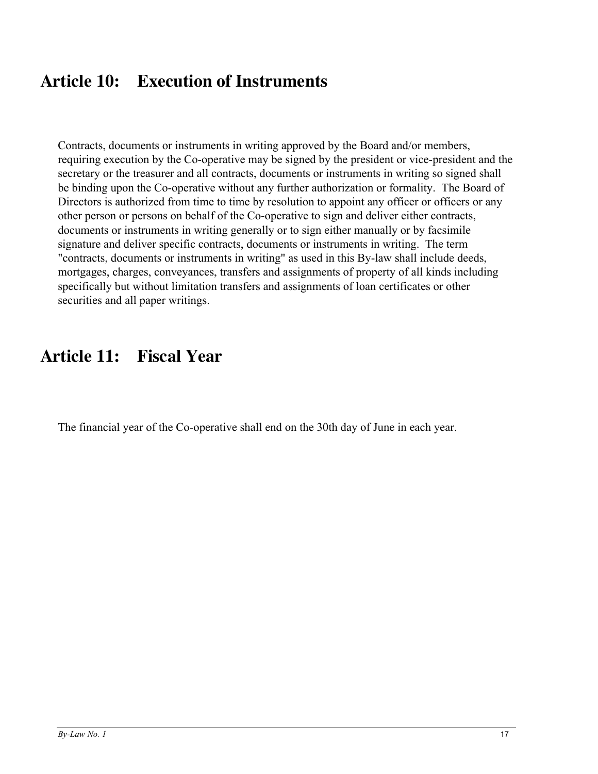# **Article 10: Execution of Instruments**

Contracts, documents or instruments in writing approved by the Board and/or members, requiring execution by the Co-operative may be signed by the president or vice-president and the secretary or the treasurer and all contracts, documents or instruments in writing so signed shall be binding upon the Co-operative without any further authorization or formality. The Board of Directors is authorized from time to time by resolution to appoint any officer or officers or any other person or persons on behalf of the Co-operative to sign and deliver either contracts, documents or instruments in writing generally or to sign either manually or by facsimile signature and deliver specific contracts, documents or instruments in writing. The term "contracts, documents or instruments in writing" as used in this By-law shall include deeds, mortgages, charges, conveyances, transfers and assignments of property of all kinds including specifically but without limitation transfers and assignments of loan certificates or other securities and all paper writings.

# **Article 11: Fiscal Year**

The financial year of the Co-operative shall end on the 30th day of June in each year.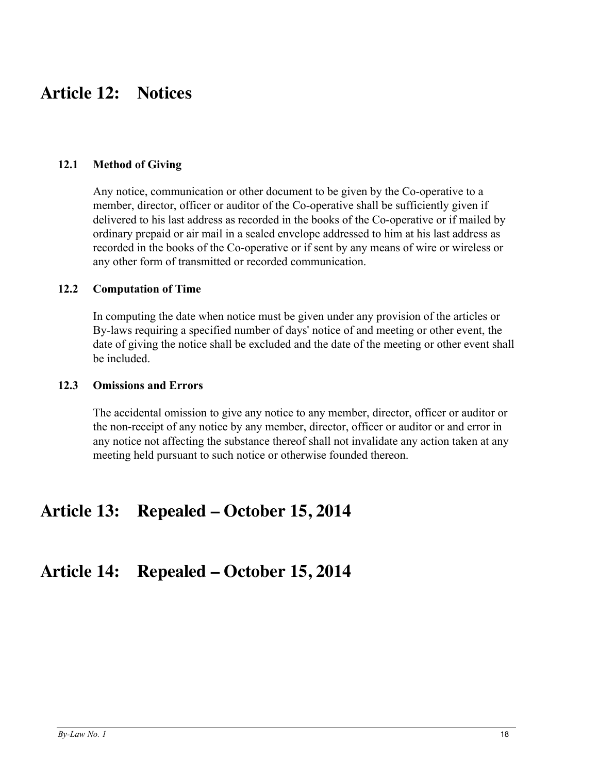# **Article 12: Notices**

### **12.1 Method of Giving**

Any notice, communication or other document to be given by the Co-operative to a member, director, officer or auditor of the Co-operative shall be sufficiently given if delivered to his last address as recorded in the books of the Co-operative or if mailed by ordinary prepaid or air mail in a sealed envelope addressed to him at his last address as recorded in the books of the Co-operative or if sent by any means of wire or wireless or any other form of transmitted or recorded communication.

#### **12.2 Computation of Time**

In computing the date when notice must be given under any provision of the articles or By-laws requiring a specified number of days' notice of and meeting or other event, the date of giving the notice shall be excluded and the date of the meeting or other event shall be included.

#### **12.3 Omissions and Errors**

The accidental omission to give any notice to any member, director, officer or auditor or the non-receipt of any notice by any member, director, officer or auditor or and error in any notice not affecting the substance thereof shall not invalidate any action taken at any meeting held pursuant to such notice or otherwise founded thereon.

# **Article 13: Repealed – October 15, 2014**

# **Article 14: Repealed – October 15, 2014**